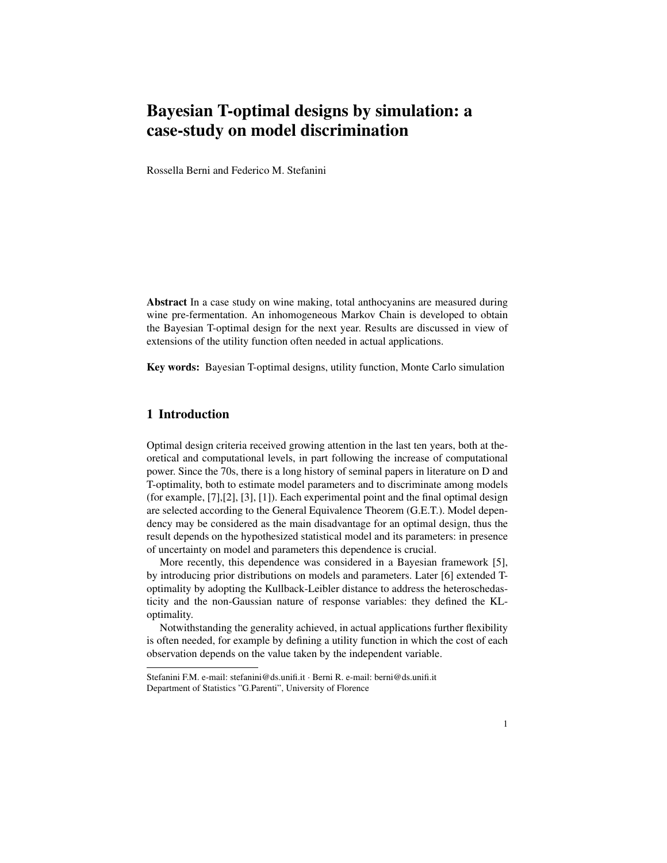# Bayesian T-optimal designs by simulation: a case-study on model discrimination

Rossella Berni and Federico M. Stefanini

Abstract In a case study on wine making, total anthocyanins are measured during wine pre-fermentation. An inhomogeneous Markov Chain is developed to obtain the Bayesian T-optimal design for the next year. Results are discussed in view of extensions of the utility function often needed in actual applications.

Key words: Bayesian T-optimal designs, utility function, Monte Carlo simulation

# 1 Introduction

Optimal design criteria received growing attention in the last ten years, both at theoretical and computational levels, in part following the increase of computational power. Since the 70s, there is a long history of seminal papers in literature on D and T-optimality, both to estimate model parameters and to discriminate among models (for example, [7],[2], [3], [1]). Each experimental point and the final optimal design are selected according to the General Equivalence Theorem (G.E.T.). Model dependency may be considered as the main disadvantage for an optimal design, thus the result depends on the hypothesized statistical model and its parameters: in presence of uncertainty on model and parameters this dependence is crucial.

More recently, this dependence was considered in a Bayesian framework [5], by introducing prior distributions on models and parameters. Later [6] extended Toptimality by adopting the Kullback-Leibler distance to address the heteroschedasticity and the non-Gaussian nature of response variables: they defined the KLoptimality.

Notwithstanding the generality achieved, in actual applications further flexibility is often needed, for example by defining a utility function in which the cost of each observation depends on the value taken by the independent variable.

Stefanini F.M. e-mail: stefanini@ds.unifi.it · Berni R. e-mail: berni@ds.unifi.it Department of Statistics "G.Parenti", University of Florence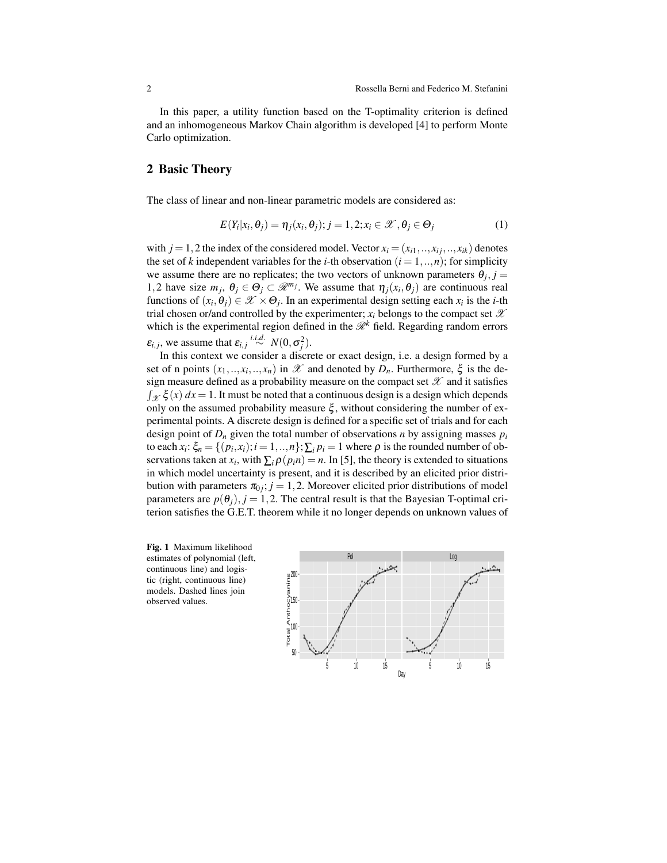In this paper, a utility function based on the T-optimality criterion is defined and an inhomogeneous Markov Chain algorithm is developed [4] to perform Monte Carlo optimization.

## 2 Basic Theory

The class of linear and non-linear parametric models are considered as:

$$
E(Y_i|x_i, \theta_j) = \eta_j(x_i, \theta_j); j = 1, 2; x_i \in \mathcal{X}, \theta_j \in \Theta_j
$$
\n(1)

with  $j = 1,2$  the index of the considered model. Vector  $x_i = (x_{i1},...,x_{i},...,x_{ik})$  denotes the set of *k* independent variables for the *i*-th observation  $(i = 1, ..., n)$ ; for simplicity we assume there are no replicates; the two vectors of unknown parameters  $\theta_j$ ,  $j =$ 1,2 have size  $m_j$ ,  $\theta_j \in \Theta_j \subset \mathcal{R}^{m_j}$ . We assume that  $\eta_j(x_i, \theta_j)$  are continuous real functions of  $(x_i, \theta_j) \in \mathcal{X} \times \Theta_j$ . In an experimental design setting each  $x_i$  is the *i*-th trial chosen or/and controlled by the experimenter;  $x_i$  belongs to the compact set  $\mathscr X$ which is the experimental region defined in the  $\mathcal{R}^k$  field. Regarding random errors  $\varepsilon_{i,j}$ , we assume that  $\varepsilon_{i,j} \stackrel{i.i.d.}{\sim} N(0, \sigma_j^2)$ .

In this context we consider a discrete or exact design, i.e. a design formed by a set of n points  $(x_1, \ldots, x_i, \ldots, x_n)$  in  $\mathscr X$  and denoted by  $D_n$ . Furthermore,  $\xi$  is the design measure defined as a probability measure on the compact set  $\mathscr X$  and it satisfies  $\int_{\mathcal{X}} \xi(x) dx = 1$ . It must be noted that a continuous design is a design which depends only on the assumed probability measure  $\xi$ , without considering the number of experimental points. A discrete design is defined for a specific set of trials and for each design point of  $D_n$  given the total number of observations *n* by assigning masses  $p_i$ to each  $x_i$ :  $\xi_n = \{(p_i, x_i); i = 1, ..., n\}$ ;  $\sum_i p_i = 1$  where  $\rho$  is the rounded number of observations taken at *x<sub>i</sub>*, with  $\sum_i \rho(p_i n) = n$ . In [5], the theory is extended to situations in which model uncertainty is present, and it is described by an elicited prior distribution with parameters  $\pi_{0j}$ ;  $j = 1, 2$ . Moreover elicited prior distributions of model parameters are  $p(\theta_i)$ ,  $j = 1, 2$ . The central result is that the Bayesian T-optimal criterion satisfies the G.E.T. theorem while it no longer depends on unknown values of

Fig. 1 Maximum likelihood estimates of polynomial (left, continuous line) and logistic (right, continuous line) models. Dashed lines join observed values.

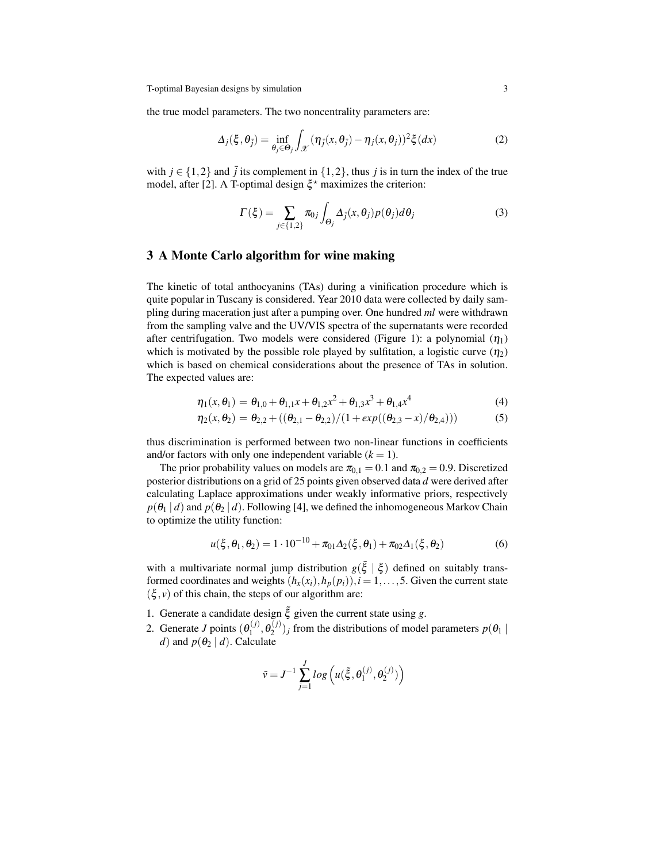T-optimal Bayesian designs by simulation 3

the true model parameters. The two noncentrality parameters are:

$$
\Delta_j(\xi, \theta_{\bar{j}}) = \inf_{\theta_j \in \Theta_j} \int_{\mathcal{X}} (\eta_{\bar{j}}(x, \theta_{\bar{j}}) - \eta_j(x, \theta_j))^2 \xi(dx)
$$
 (2)

with  $j \in \{1,2\}$  and  $\overline{j}$  its complement in  $\{1,2\}$ , thus *j* is in turn the index of the true model, after [2]. A T-optimal design  $\xi^*$  maximizes the criterion:

$$
\Gamma(\xi) = \sum_{j \in \{1,2\}} \pi_{0j} \int_{\Theta_j} \Delta_j(x,\theta_j) p(\theta_j) d\theta_j \tag{3}
$$

#### 3 A Monte Carlo algorithm for wine making

The kinetic of total anthocyanins (TAs) during a vinification procedure which is quite popular in Tuscany is considered. Year 2010 data were collected by daily sampling during maceration just after a pumping over. One hundred *ml* were withdrawn from the sampling valve and the UV/VIS spectra of the supernatants were recorded after centrifugation. Two models were considered (Figure 1): a polynomial  $(\eta_1)$ which is motivated by the possible role played by sulfitation, a logistic curve  $(\eta_2)$ which is based on chemical considerations about the presence of TAs in solution. The expected values are:

$$
\eta_1(x,\theta_1) = \theta_{1,0} + \theta_{1,1}x + \theta_{1,2}x^2 + \theta_{1,3}x^3 + \theta_{1,4}x^4
$$
\n(4)

$$
\eta_2(x,\theta_2) = \theta_{2,2} + ((\theta_{2,1} - \theta_{2,2})/(1 + exp((\theta_{2,3} - x)/\theta_{2,4})))
$$
\n(5)

thus discrimination is performed between two non-linear functions in coefficients and/or factors with only one independent variable  $(k = 1)$ .

The prior probability values on models are  $\pi_{0,1} = 0.1$  and  $\pi_{0,2} = 0.9$ . Discretized posterior distributions on a grid of 25 points given observed data *d* were derived after calculating Laplace approximations under weakly informative priors, respectively  $p(\theta_1 | d)$  and  $p(\theta_2 | d)$ . Following [4], we defined the inhomogeneous Markov Chain to optimize the utility function:

$$
u(\xi, \theta_1, \theta_2) = 1 \cdot 10^{-10} + \pi_{01} \Delta_2(\xi, \theta_1) + \pi_{02} \Delta_1(\xi, \theta_2)
$$
(6)

with a multivariate normal jump distribution  $g(\tilde{\xi} | \xi)$  defined on suitably transformed coordinates and weights  $(h_x(x_i), h_p(p_i))$ ,  $i = 1, \ldots, 5$ . Given the current state  $(\xi, v)$  of this chain, the steps of our algorithm are:

- 1. Generate a candidate design  $\tilde{\xi}$  given the current state using *g*.
- 2. Generate *J* points  $(\theta_1^{(j)})$  $\theta_1^{(j)}, \theta_2^{(j)}$  $2^{(1)}$ )<sub>*j*</sub> from the distributions of model parameters  $p(\theta_1 | \theta_2)$ *d*) and  $p(\theta_2 | d)$ . Calculate

$$
\tilde{v} = J^{-1} \sum_{j=1}^{J} log \left( u(\tilde{\xi}, \theta_1^{(j)}, \theta_2^{(j)}) \right)
$$